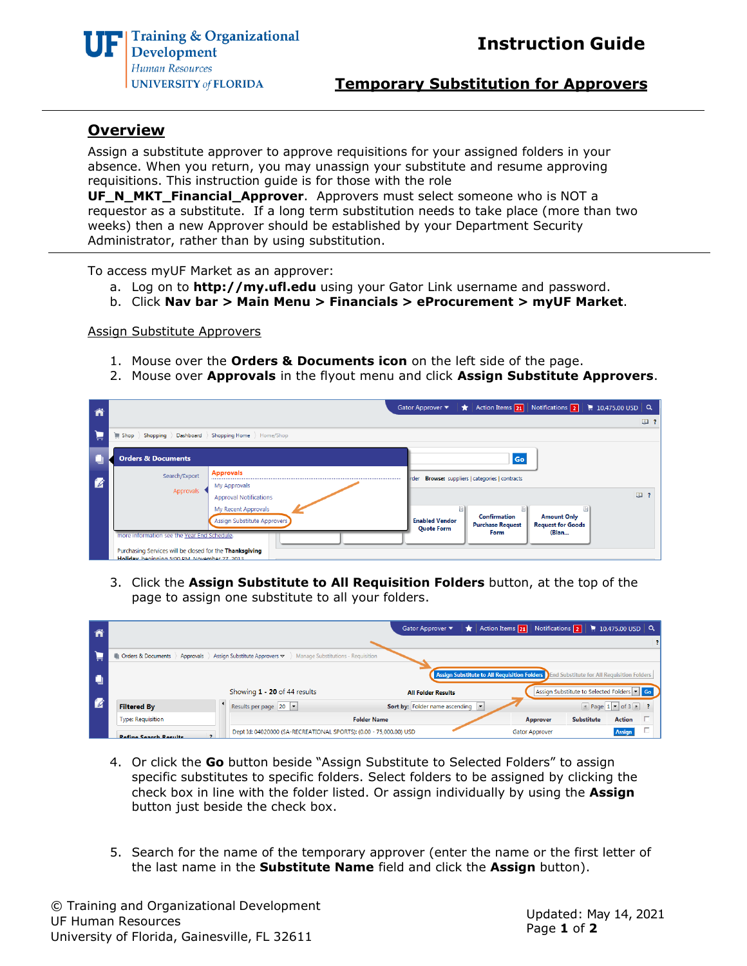



**Temporary Substitution for Approvers**

## **Overview**

Assign a substitute approver to approve requisitions for your assigned folders in your absence. When you return, you may unassign your substitute and resume approving requisitions. This instruction guide is for those with the role

**UF\_N\_MKT\_Financial\_Approver**. Approvers must select someone who is NOT a requestor as a substitute. If a long term substitution needs to take place (more than two weeks) then a new Approver should be established by your Department Security Administrator, rather than by using substitution.

To access myUF Market as an approver:

- a. Log on to **[http://my.ufl.edu](http://my.ufl.edu/)** using your Gator Link username and password.
- b. Click **Nav bar > Main Menu > Financials > eProcurement > myUF Market**.

Assign Substitute Approvers

- 1. Mouse over the **Orders & Documents icon** on the left side of the page.
- 2. Mouse over **Approvals** in the flyout menu and click **Assign Substitute Approvers**.



3. Click the **Assign Substitute to All Requisition Folders** button, at the top of the page to assign one substitute to all your folders.

| ĥ                        |                                                                                         |  |                                                                    | Gator Approver $\blacktriangledown$ |               | Action Items 21 Notifications 2   10,475.00 USD $\alpha$ |                                             |                            |  |
|--------------------------|-----------------------------------------------------------------------------------------|--|--------------------------------------------------------------------|-------------------------------------|---------------|----------------------------------------------------------|---------------------------------------------|----------------------------|--|
|                          |                                                                                         |  |                                                                    |                                     |               |                                                          |                                             |                            |  |
| E                        | Orders & Documents   Approvals   Assign Substitute Approvers $\sim$                     |  | Manage Substitutions - Requisition                                 |                                     |               |                                                          |                                             |                            |  |
| ۰                        | Assign Substitute to All Requisition Folders End Substitute for All Requisition Folders |  |                                                                    |                                     |               |                                                          |                                             |                            |  |
|                          |                                                                                         |  | Showing 1 - 20 of 44 results                                       | <b>All Folder Results</b>           |               |                                                          | Assign Substitute to Selected Folders Table |                            |  |
| $\overline{\mathscr{L}}$ | <b>Filtered By</b>                                                                      |  | Results per page 20                                                | Sort by: Folder name ascending  v   |               |                                                          |                                             | $\sqrt{4}$ Page $1 -$ of 3 |  |
|                          | <b>Type: Requisition</b><br><b>Folder Name</b>                                          |  | Approver                                                           | <b>Substitute</b>                   | <b>Action</b> |                                                          |                                             |                            |  |
|                          | <b>Rofino Soarch Rocults</b>                                                            |  | Dept Id: 04020000 (SA-RECREATIONAL SPORTS): (0.00 - 75,000.00) USD |                                     |               | <b>Gator Approver</b>                                    |                                             | <b>Assign</b>              |  |

- 4. Or click the **Go** button beside "Assign Substitute to Selected Folders" to assign specific substitutes to specific folders. Select folders to be assigned by clicking the check box in line with the folder listed. Or assign individually by using the **Assign** button just beside the check box.
- 5. Search for the name of the temporary approver (enter the name or the first letter of the last name in the **Substitute Name** field and click the **Assign** button).

© Training and Organizational Development UF Human Resources University of Florida, Gainesville, FL 32611